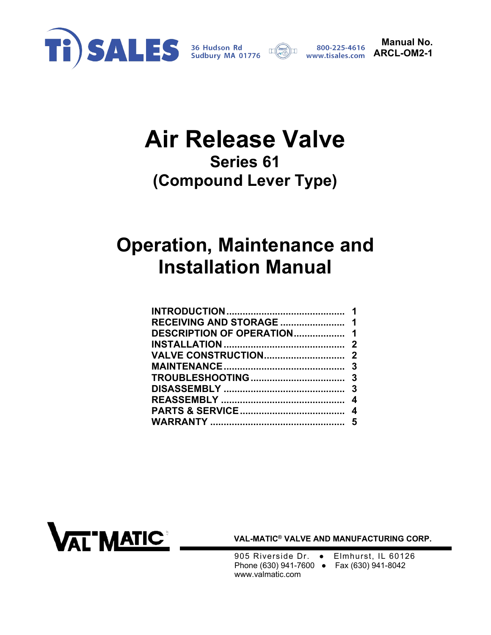



**Manual No. ARCL-OM2-1** 

## **Air Release Valve Series 61 (Compound Lever Type)**

# **Operation, Maintenance and Installation Manual**

| DESCRIPTION OF OPERATION 1 |  |
|----------------------------|--|
|                            |  |
|                            |  |
|                            |  |
|                            |  |
|                            |  |
|                            |  |
|                            |  |
|                            |  |



**VAL-MATIC® VALVE AND MANUFACTURING CORP.** 

905 Riverside Dr. • Elmhurst, IL 60126 Phone (630) 941-7600 ● Fax (630) 941-8042 www.valmatic.com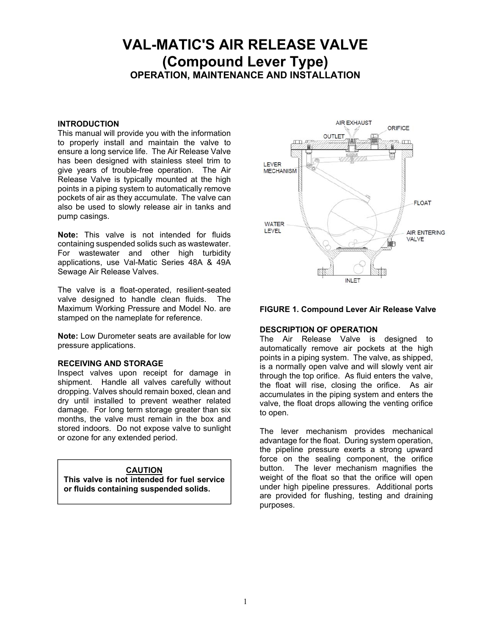### <span id="page-1-0"></span>**VAL-MATIC'S AIR RELEASE VALVE (Compound Lever Type) OPERATION, MAINTENANCE AND INSTALLATION**

#### **INTRODUCTION**

This manual will provide you with the information to properly install and maintain the valve to ensure a long service life. The Air Release Valve has been designed with stainless steel trim to give years of trouble-free operation. The Air Release Valve is typically mounted at the high points in a piping system to automatically remove pockets of air as they accumulate. The valve can also be used to slowly release air in tanks and pump casings.

**Note:** This valve is not intended for fluids containing suspended solids such as wastewater. For wastewater and other high turbidity applications, use Val-Matic Series 48A & 49A Sewage Air Release Valves.

The valve is a float-operated, resilient-seated valve designed to handle clean fluids. The Maximum Working Pressure and Model No. are stamped on the nameplate for reference.

**Note:** Low Durometer seats are available for low pressure applications.

#### **RECEIVING AND STORAGE**

Inspect valves upon receipt for damage in shipment. Handle all valves carefully without dropping. Valves should remain boxed, clean and dry until installed to prevent weather related damage. For long term storage greater than six months, the valve must remain in the box and stored indoors. Do not expose valve to sunlight or ozone for any extended period.

#### **CAUTION**

**This valve is not intended for fuel service or fluids containing suspended solids.**



#### **FIGURE 1. Compound Lever Air Release Valve**

#### **DESCRIPTION OF OPERATION**

The Air Release Valve is designed to automatically remove air pockets at the high points in a piping system. The valve, as shipped, is a normally open valve and will slowly vent air through the top orifice. As fluid enters the valve, the float will rise, closing the orifice. As air accumulates in the piping system and enters the valve, the float drops allowing the venting orifice to open.

The lever mechanism provides mechanical advantage for the float. During system operation, the pipeline pressure exerts a strong upward force on the sealing component, the orifice button. The lever mechanism magnifies the weight of the float so that the orifice will open under high pipeline pressures. Additional ports are provided for flushing, testing and draining purposes.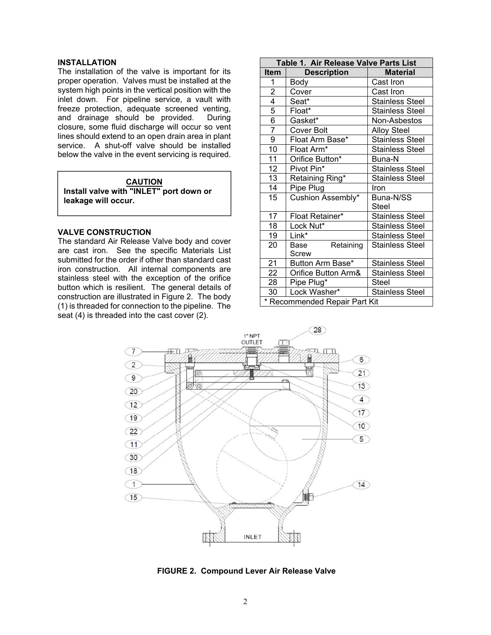#### <span id="page-2-0"></span>**INSTALLATION**

The installation of the valve is important for its proper operation. Valves must be installed at the system high points in the vertical position with the inlet down. For pipeline service, a vault with freeze protection, adequate screened venting, and drainage should be provided. During closure, some fluid discharge will occur so vent lines should extend to an open drain area in plant service. A shut-off valve should be installed below the valve in the event servicing is required.

#### **CAUTION**

**Install valve with "INLET" port down or leakage will occur.**

#### **VALVE CONSTRUCTION**

The standard Air Release Valve body and cover are cast iron. See the specific Materials List submitted for the order if other than standard cast iron construction. All internal components are stainless steel with the exception of the orifice button which is resilient. The general details of construction are illustrated in Figure 2. The body (1) is threaded for connection to the pipeline. The seat (4) is threaded into the cast cover (2).

| Table 1. Air Release Valve Parts List |                     |                        |  |
|---------------------------------------|---------------------|------------------------|--|
| <b>Item</b>                           | <b>Description</b>  | <b>Material</b>        |  |
| 1                                     | Body                | Cast Iron              |  |
| $\overline{2}$                        | Cover               | Cast Iron              |  |
| 4                                     | Seat*               | <b>Stainless Steel</b> |  |
| 5                                     | Float*              | <b>Stainless Steel</b> |  |
| 6                                     | Gasket*             | Non-Asbestos           |  |
| 7                                     | <b>Cover Bolt</b>   | <b>Alloy Steel</b>     |  |
| 9                                     | Float Arm Base*     | <b>Stainless Steel</b> |  |
| 10                                    | Float Arm*          | <b>Stainless Steel</b> |  |
| 11                                    | Orifice Button*     | Buna-N                 |  |
| 12                                    | Pivot Pin*          | <b>Stainless Steel</b> |  |
| 13                                    | Retaining Ring*     | <b>Stainless Steel</b> |  |
| 14                                    | Pipe Plug           | Iron                   |  |
| 15                                    | Cushion Assembly*   | Buna-N/SS              |  |
|                                       |                     | Steel                  |  |
| 17                                    | Float Retainer*     | <b>Stainless Steel</b> |  |
| 18                                    | Lock Nut*           | <b>Stainless Steel</b> |  |
| 19                                    | Link*               | <b>Stainless Steel</b> |  |
| 20                                    | Retaining<br>Base   | <b>Stainless Steel</b> |  |
|                                       | Screw               |                        |  |
| 21                                    | Button Arm Base*    | <b>Stainless Steel</b> |  |
| 22                                    | Orifice Button Arm& | <b>Stainless Steel</b> |  |
| 28                                    | Pipe Plug*          | Steel                  |  |
| 30                                    | Lock Washer*        | <b>Stainless Steel</b> |  |
| * Recommended Repair Part Kit         |                     |                        |  |



**FIGURE 2. Compound Lever Air Release Valve**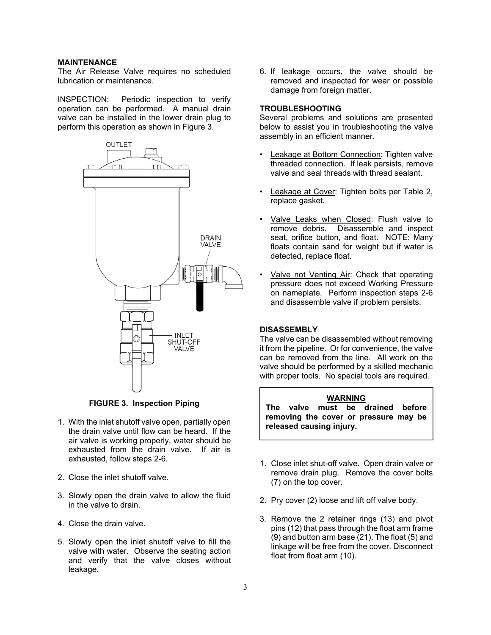#### <span id="page-3-0"></span>**MAINTENANCE**

The Air Release Valve requires no scheduled lubrication or maintenance.

INSPECTION: Periodic inspection to verify operation can be performed. A manual drain valve can be installed in the lower drain plug to perform this operation as shown in Figure 3.



**FIGURE 3. Inspection Piping** 

- 1. With the inlet shutoff valve open, partially open the drain valve until flow can be heard. If the air valve is working properly, water should be exhausted from the drain valve. If air is exhausted, follow steps 2-6.
- 2. Close the inlet shutoff valve.
- 3. Slowly open the drain valve to allow the fluid in the valve to drain.
- 4. Close the drain valve.
- 5. Slowly open the inlet shutoff valve to fill the valve with water. Observe the seating action and verify that the valve closes without leakage.

6. If leakage occurs, the valve should be removed and inspected for wear or possible damage from foreign matter.

#### **TROUBLESHOOTING**

Several problems and solutions are presented below to assist you in troubleshooting the valve assembly in an efficient manner.

- Leakage at Bottom Connection: Tighten valve threaded connection. If leak persists, remove valve and seal threads with thread sealant.
- Leakage at Cover: Tighten bolts per Table 2, replace gasket.
- Valve Leaks when Closed: Flush valve to remove debris. Disassemble and inspect seat, orifice button, and float. NOTE: Many floats contain sand for weight but if water is detected, replace float.
- Valve not Venting Air: Check that operating pressure does not exceed Working Pressure on nameplate. Perform inspection steps 2-6 and disassemble valve if problem persists.

#### **DISASSEMBLY**

The valve can be disassembled without removing it from the pipeline. Or for convenience, the valve can be removed from the line. All work on the valve should be performed by a skilled mechanic with proper tools. No special tools are required.

#### **WARNING**

**The valve must be drained before removing the cover or pressure may be released causing injury.**

- 1. Close inlet shut-off valve. Open drain valve or remove drain plug. Remove the cover bolts (7) on the top cover.
- 2. Pry cover (2) loose and lift off valve body.
- 3. Remove the 2 retainer rings (13) and pivot pins (12) that pass through the float arm frame (9) and button arm base (21). The float (5) and linkage will be free from the cover. Disconnect float from float arm (10).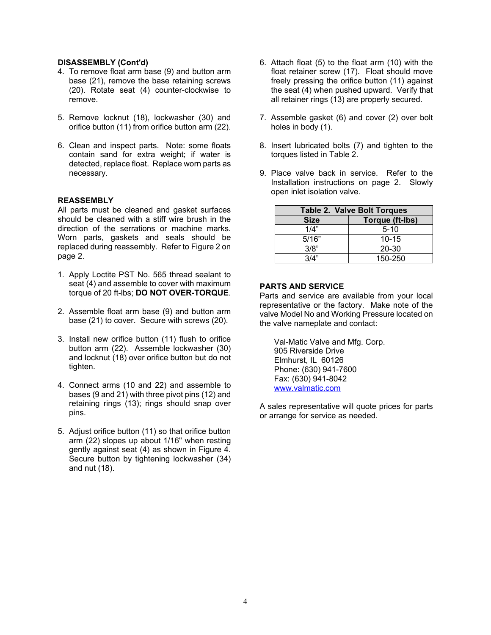#### <span id="page-4-0"></span>**DISASSEMBLY (Cont'd)**

- 4. To remove float arm base (9) and button arm base (21), remove the base retaining screws (20). Rotate seat (4) counter-clockwise to remove.
- 5. Remove locknut (18), lockwasher (30) and orifice button (11) from orifice button arm (22).
- 6. Clean and inspect parts. Note: some floats contain sand for extra weight; if water is detected, replace float. Replace worn parts as necessary.

#### **REASSEMBLY**

All parts must be cleaned and gasket surfaces should be cleaned with a stiff wire brush in the direction of the serrations or machine marks. Worn parts, gaskets and seals should be replaced during reassembly. Refer to Figure 2 on page 2.

- 1. Apply Loctite PST No. 565 thread sealant to seat (4) and assemble to cover with maximum torque of 20 ft-lbs; **DO NOT OVER-TORQUE**.
- 2. Assemble float arm base (9) and button arm base (21) to cover. Secure with screws (20).
- 3. Install new orifice button (11) flush to orifice button arm (22). Assemble lockwasher (30) and locknut (18) over orifice button but do not tighten.
- 4. Connect arms (10 and 22) and assemble to bases (9 and 21) with three pivot pins (12) and retaining rings (13); rings should snap over pins.
- 5. Adjust orifice button (11) so that orifice button arm (22) slopes up about 1/16" when resting gently against seat (4) as shown in Figure 4. Secure button by tightening lockwasher (34) and nut (18).
- 6. Attach float (5) to the float arm (10) with the float retainer screw (17). Float should move freely pressing the orifice button (11) against the seat (4) when pushed upward. Verify that all retainer rings (13) are properly secured.
- 7. Assemble gasket (6) and cover (2) over bolt holes in body (1).
- 8. Insert lubricated bolts (7) and tighten to the torques listed in Table 2.
- 9. Place valve back in service. Refer to the Installation instructions on page 2. Slowly open inlet isolation valve.

| <b>Table 2. Valve Bolt Torques</b> |                 |  |
|------------------------------------|-----------------|--|
| <b>Size</b>                        | Torque (ft-lbs) |  |
| 1/4"                               | $5 - 10$        |  |
| 5/16"                              | $10 - 15$       |  |
| 3/8"                               | 20-30           |  |
| 3/4"                               | 150-250         |  |

#### **PARTS AND SERVICE**

Parts and service are available from your local representative or the factory. Make note of the valve Model No and Working Pressure located on the valve nameplate and contact:

Val-Matic Valve and Mfg. Corp. 905 Riverside Drive Elmhurst, IL 60126 Phone: (630) 941-7600 Fax: (630) 941-8042 www.valmatic.com

A sales representative will quote prices for parts or arrange for service as needed.